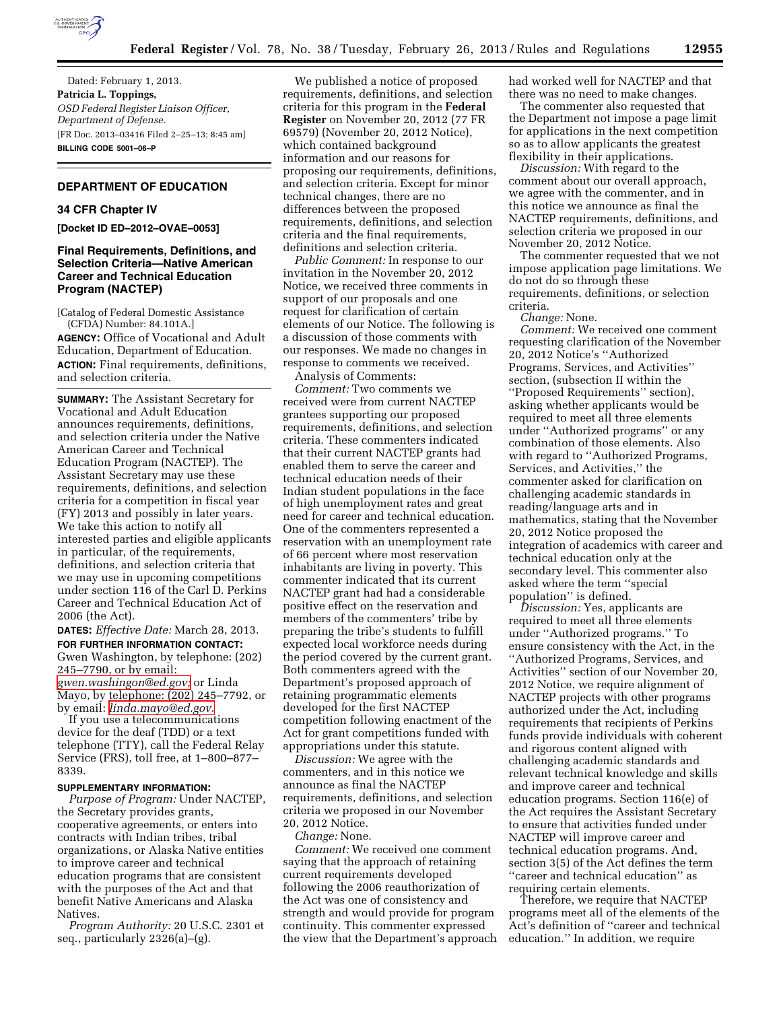

Dated: February 1, 2013. **Patricia L. Toppings,**  *OSD Federal Register Liaison Officer, Department of Defense.*  [FR Doc. 2013–03416 Filed 2–25–13; 8:45 am] **BILLING CODE 5001–06–P** 

## **DEPARTMENT OF EDUCATION**

## **34 CFR Chapter IV**

**[Docket ID ED–2012–OVAE–0053]** 

## **Final Requirements, Definitions, and Selection Criteria—Native American Career and Technical Education Program (NACTEP)**

[Catalog of Federal Domestic Assistance (CFDA) Number: 84.101A.] **AGENCY:** Office of Vocational and Adult

Education, Department of Education. **ACTION:** Final requirements, definitions, and selection criteria.

**SUMMARY:** The Assistant Secretary for Vocational and Adult Education announces requirements, definitions, and selection criteria under the Native American Career and Technical Education Program (NACTEP). The Assistant Secretary may use these requirements, definitions, and selection criteria for a competition in fiscal year (FY) 2013 and possibly in later years. We take this action to notify all interested parties and eligible applicants in particular, of the requirements, definitions, and selection criteria that we may use in upcoming competitions under section 116 of the Carl D. Perkins Career and Technical Education Act of 2006 (the Act).

**DATES:** *Effective Date:* March 28, 2013. **FOR FURTHER INFORMATION CONTACT:**  Gwen Washington, by telephone: (202) 245–7790, or by email: *[gwen.washingon@ed.gov;](mailto:gwen.washingon@ed.gov)* or Linda Mayo, by telephone: (202) 245–7792, or by email: *[linda.mayo@ed.gov](mailto:linda.mayo@ed.gov)*.

If you use a telecommunications device for the deaf (TDD) or a text telephone (TTY), call the Federal Relay Service (FRS), toll free, at 1–800–877– 8339.

#### **SUPPLEMENTARY INFORMATION:**

*Purpose of Program:* Under NACTEP, the Secretary provides grants, cooperative agreements, or enters into contracts with Indian tribes, tribal organizations, or Alaska Native entities to improve career and technical education programs that are consistent with the purposes of the Act and that benefit Native Americans and Alaska Natives.

*Program Authority:* 20 U.S.C. 2301 et seq., particularly 2326(a)–(g).

We published a notice of proposed requirements, definitions, and selection criteria for this program in the **Federal Register** on November 20, 2012 (77 FR 69579) (November 20, 2012 Notice), which contained background information and our reasons for proposing our requirements, definitions, and selection criteria. Except for minor technical changes, there are no differences between the proposed requirements, definitions, and selection criteria and the final requirements, definitions and selection criteria.

*Public Comment:* In response to our invitation in the November 20, 2012 Notice, we received three comments in support of our proposals and one request for clarification of certain elements of our Notice. The following is a discussion of those comments with our responses. We made no changes in response to comments we received.

Analysis of Comments:

*Comment:* Two comments we received were from current NACTEP grantees supporting our proposed requirements, definitions, and selection criteria. These commenters indicated that their current NACTEP grants had enabled them to serve the career and technical education needs of their Indian student populations in the face of high unemployment rates and great need for career and technical education. One of the commenters represented a reservation with an unemployment rate of 66 percent where most reservation inhabitants are living in poverty. This commenter indicated that its current NACTEP grant had had a considerable positive effect on the reservation and members of the commenters' tribe by preparing the tribe's students to fulfill expected local workforce needs during the period covered by the current grant. Both commenters agreed with the Department's proposed approach of retaining programmatic elements developed for the first NACTEP competition following enactment of the Act for grant competitions funded with appropriations under this statute.

*Discussion:* We agree with the commenters, and in this notice we announce as final the NACTEP requirements, definitions, and selection criteria we proposed in our November 20, 2012 Notice.

*Change:* None.

*Comment:* We received one comment saying that the approach of retaining current requirements developed following the 2006 reauthorization of the Act was one of consistency and strength and would provide for program continuity. This commenter expressed the view that the Department's approach had worked well for NACTEP and that there was no need to make changes.

The commenter also requested that the Department not impose a page limit for applications in the next competition so as to allow applicants the greatest flexibility in their applications.

*Discussion:* With regard to the comment about our overall approach, we agree with the commenter, and in this notice we announce as final the NACTEP requirements, definitions, and selection criteria we proposed in our November 20, 2012 Notice.

The commenter requested that we not impose application page limitations. We do not do so through these requirements, definitions, or selection criteria.

*Change:* None.

*Comment:* We received one comment requesting clarification of the November 20, 2012 Notice's ''Authorized Programs, Services, and Activities'' section, (subsection II within the ''Proposed Requirements'' section), asking whether applicants would be required to meet all three elements under ''Authorized programs'' or any combination of those elements. Also with regard to ''Authorized Programs, Services, and Activities,'' the commenter asked for clarification on challenging academic standards in reading/language arts and in mathematics, stating that the November 20, 2012 Notice proposed the integration of academics with career and technical education only at the secondary level. This commenter also asked where the term ''special population'' is defined.

*Discussion:* Yes, applicants are required to meet all three elements under ''Authorized programs.'' To ensure consistency with the Act, in the ''Authorized Programs, Services, and Activities'' section of our November 20, 2012 Notice, we require alignment of NACTEP projects with other programs authorized under the Act, including requirements that recipients of Perkins funds provide individuals with coherent and rigorous content aligned with challenging academic standards and relevant technical knowledge and skills and improve career and technical education programs. Section 116(e) of the Act requires the Assistant Secretary to ensure that activities funded under NACTEP will improve career and technical education programs. And, section 3(5) of the Act defines the term ''career and technical education'' as requiring certain elements.

Therefore, we require that NACTEP programs meet all of the elements of the Act's definition of ''career and technical education.'' In addition, we require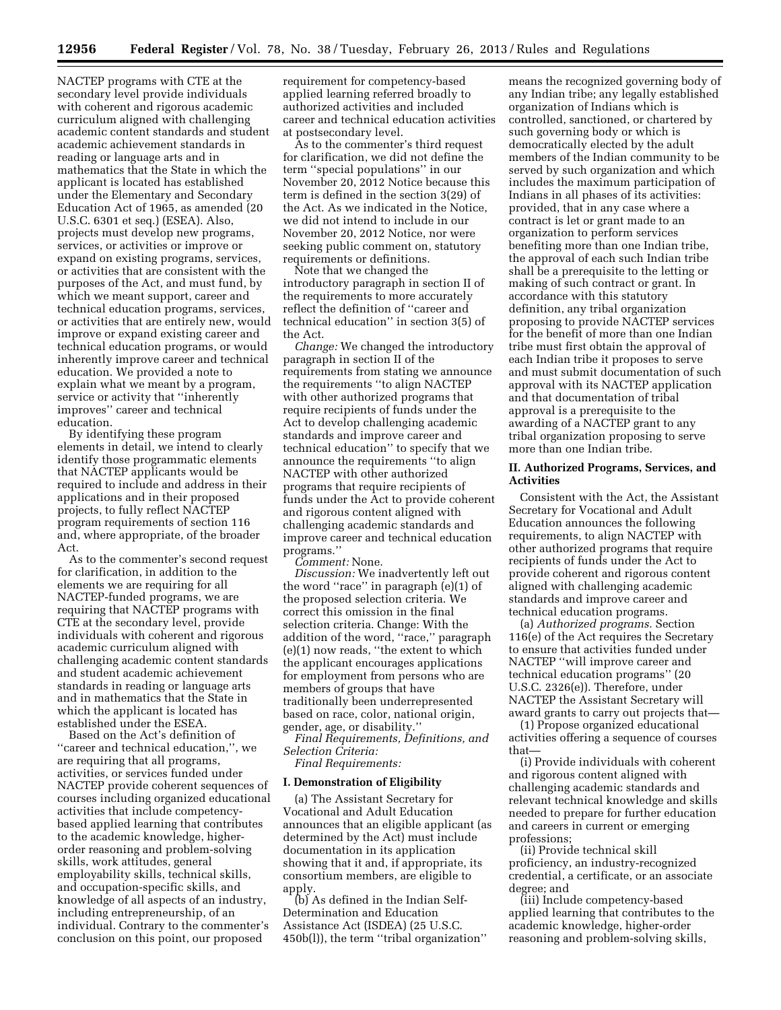NACTEP programs with CTE at the secondary level provide individuals with coherent and rigorous academic curriculum aligned with challenging academic content standards and student academic achievement standards in reading or language arts and in mathematics that the State in which the applicant is located has established under the Elementary and Secondary Education Act of 1965, as amended (20 U.S.C. 6301 et seq.) (ESEA). Also, projects must develop new programs, services, or activities or improve or expand on existing programs, services, or activities that are consistent with the purposes of the Act, and must fund, by which we meant support, career and technical education programs, services, or activities that are entirely new, would improve or expand existing career and technical education programs, or would inherently improve career and technical education. We provided a note to explain what we meant by a program, service or activity that ''inherently improves'' career and technical education.

By identifying these program elements in detail, we intend to clearly identify those programmatic elements that NACTEP applicants would be required to include and address in their applications and in their proposed projects, to fully reflect NACTEP program requirements of section 116 and, where appropriate, of the broader Act.

As to the commenter's second request for clarification, in addition to the elements we are requiring for all NACTEP-funded programs, we are requiring that NACTEP programs with CTE at the secondary level, provide individuals with coherent and rigorous academic curriculum aligned with challenging academic content standards and student academic achievement standards in reading or language arts and in mathematics that the State in which the applicant is located has established under the ESEA.

Based on the Act's definition of ''career and technical education,'', we are requiring that all programs, activities, or services funded under NACTEP provide coherent sequences of courses including organized educational activities that include competencybased applied learning that contributes to the academic knowledge, higherorder reasoning and problem-solving skills, work attitudes, general employability skills, technical skills, and occupation-specific skills, and knowledge of all aspects of an industry, including entrepreneurship, of an individual. Contrary to the commenter's conclusion on this point, our proposed

requirement for competency-based applied learning referred broadly to authorized activities and included career and technical education activities at postsecondary level.

As to the commenter's third request for clarification, we did not define the term ''special populations'' in our November 20, 2012 Notice because this term is defined in the section 3(29) of the Act. As we indicated in the Notice, we did not intend to include in our November 20, 2012 Notice, nor were seeking public comment on, statutory requirements or definitions.

Note that we changed the introductory paragraph in section II of the requirements to more accurately reflect the definition of ''career and technical education'' in section 3(5) of the Act.

*Change:* We changed the introductory paragraph in section II of the requirements from stating we announce the requirements ''to align NACTEP with other authorized programs that require recipients of funds under the Act to develop challenging academic standards and improve career and technical education'' to specify that we announce the requirements ''to align NACTEP with other authorized programs that require recipients of funds under the Act to provide coherent and rigorous content aligned with challenging academic standards and improve career and technical education programs.''

*Comment:* None.

*Discussion:* We inadvertently left out the word ''race'' in paragraph (e)(1) of the proposed selection criteria. We correct this omission in the final selection criteria. Change: With the addition of the word, "race," paragraph (e)(1) now reads, ''the extent to which the applicant encourages applications for employment from persons who are members of groups that have traditionally been underrepresented based on race, color, national origin, gender, age, or disability.''

*Final Requirements, Definitions, and Selection Criteria:* 

*Final Requirements:* 

#### **I. Demonstration of Eligibility**

(a) The Assistant Secretary for Vocational and Adult Education announces that an eligible applicant (as determined by the Act) must include documentation in its application showing that it and, if appropriate, its consortium members, are eligible to apply.

(b) As defined in the Indian Self-Determination and Education Assistance Act (ISDEA) (25 U.S.C. 450b(l)), the term ''tribal organization''

means the recognized governing body of any Indian tribe; any legally established organization of Indians which is controlled, sanctioned, or chartered by such governing body or which is democratically elected by the adult members of the Indian community to be served by such organization and which includes the maximum participation of Indians in all phases of its activities: provided, that in any case where a contract is let or grant made to an organization to perform services benefiting more than one Indian tribe, the approval of each such Indian tribe shall be a prerequisite to the letting or making of such contract or grant. In accordance with this statutory definition, any tribal organization proposing to provide NACTEP services for the benefit of more than one Indian tribe must first obtain the approval of each Indian tribe it proposes to serve and must submit documentation of such approval with its NACTEP application and that documentation of tribal approval is a prerequisite to the awarding of a NACTEP grant to any tribal organization proposing to serve more than one Indian tribe.

### **II. Authorized Programs, Services, and Activities**

Consistent with the Act, the Assistant Secretary for Vocational and Adult Education announces the following requirements, to align NACTEP with other authorized programs that require recipients of funds under the Act to provide coherent and rigorous content aligned with challenging academic standards and improve career and technical education programs.

(a) *Authorized programs.* Section 116(e) of the Act requires the Secretary to ensure that activities funded under NACTEP ''will improve career and technical education programs'' (20 U.S.C. 2326(e)). Therefore, under NACTEP the Assistant Secretary will award grants to carry out projects that—

(1) Propose organized educational activities offering a sequence of courses that—

(i) Provide individuals with coherent and rigorous content aligned with challenging academic standards and relevant technical knowledge and skills needed to prepare for further education and careers in current or emerging professions;

(ii) Provide technical skill proficiency, an industry-recognized credential, a certificate, or an associate degree; and

(iii) Include competency-based applied learning that contributes to the academic knowledge, higher-order reasoning and problem-solving skills,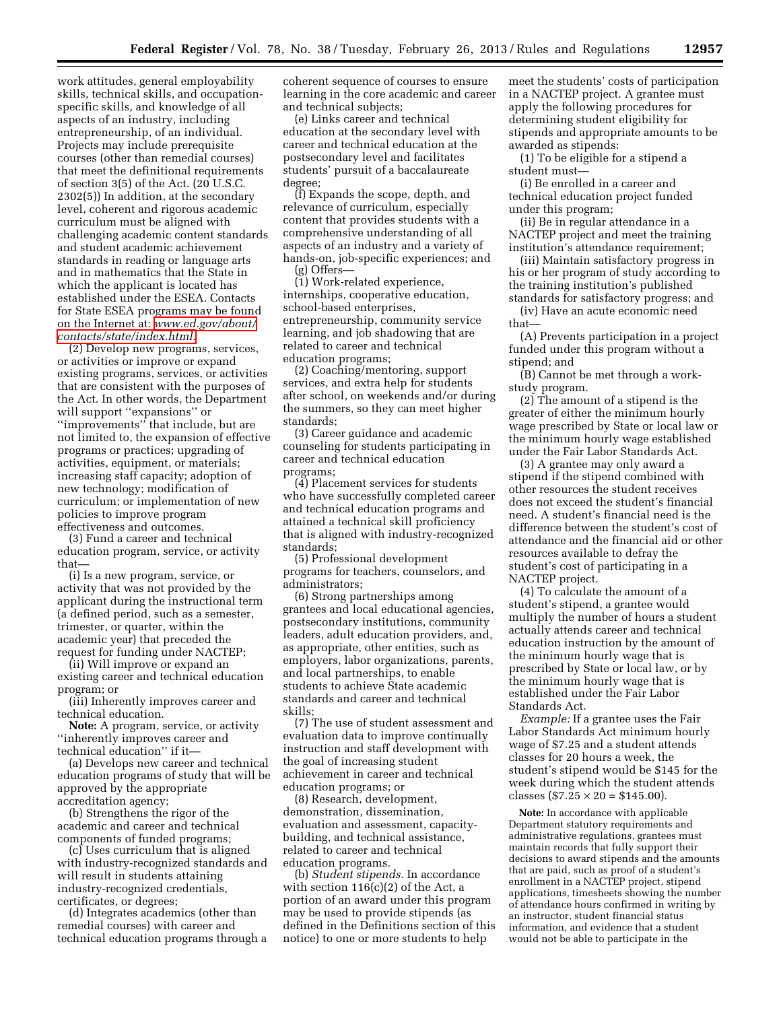work attitudes, general employability skills, technical skills, and occupationspecific skills, and knowledge of all aspects of an industry, including entrepreneurship, of an individual. Projects may include prerequisite courses (other than remedial courses) that meet the definitional requirements of section 3(5) of the Act. (20 U.S.C. 2302(5)) In addition, at the secondary level, coherent and rigorous academic curriculum must be aligned with challenging academic content standards and student academic achievement standards in reading or language arts and in mathematics that the State in which the applicant is located has established under the ESEA. Contacts for State ESEA programs may be found on the Internet at: *[www.ed.gov/about/](http://www.ed.gov/about/contacts/state/index.html) [contacts/state/index.html.](http://www.ed.gov/about/contacts/state/index.html)* 

(2) Develop new programs, services, or activities or improve or expand existing programs, services, or activities that are consistent with the purposes of the Act. In other words, the Department will support "expansions" or ''improvements'' that include, but are not limited to, the expansion of effective programs or practices; upgrading of activities, equipment, or materials; increasing staff capacity; adoption of new technology; modification of curriculum; or implementation of new policies to improve program effectiveness and outcomes.

(3) Fund a career and technical education program, service, or activity that—

(i) Is a new program, service, or activity that was not provided by the applicant during the instructional term (a defined period, such as a semester, trimester, or quarter, within the academic year) that preceded the request for funding under NACTEP;

(ii) Will improve or expand an existing career and technical education program; or

(iii) Inherently improves career and technical education.

**Note:** A program, service, or activity ''inherently improves career and technical education'' if it—

(a) Develops new career and technical education programs of study that will be approved by the appropriate accreditation agency;

(b) Strengthens the rigor of the academic and career and technical components of funded programs;

(c) Uses curriculum that is aligned with industry-recognized standards and will result in students attaining industry-recognized credentials, certificates, or degrees;

(d) Integrates academics (other than remedial courses) with career and technical education programs through a coherent sequence of courses to ensure learning in the core academic and career and technical subjects;

(e) Links career and technical education at the secondary level with career and technical education at the postsecondary level and facilitates students' pursuit of a baccalaureate degree;

(f) Expands the scope, depth, and relevance of curriculum, especially content that provides students with a comprehensive understanding of all aspects of an industry and a variety of hands-on, job-specific experiences; and (g) Offers—

(1) Work-related experience, internships, cooperative education, school-based enterprises, entrepreneurship, community service learning, and job shadowing that are related to career and technical education programs;

(2) Coaching/mentoring, support services, and extra help for students after school, on weekends and/or during the summers, so they can meet higher standards;

(3) Career guidance and academic counseling for students participating in career and technical education programs;

(4) Placement services for students who have successfully completed career and technical education programs and attained a technical skill proficiency that is aligned with industry-recognized standards;

(5) Professional development programs for teachers, counselors, and administrators;

(6) Strong partnerships among grantees and local educational agencies, postsecondary institutions, community leaders, adult education providers, and, as appropriate, other entities, such as employers, labor organizations, parents, and local partnerships, to enable students to achieve State academic standards and career and technical skills;

(7) The use of student assessment and evaluation data to improve continually instruction and staff development with the goal of increasing student achievement in career and technical education programs; or

(8) Research, development, demonstration, dissemination, evaluation and assessment, capacitybuilding, and technical assistance, related to career and technical education programs.

(b) *Student stipends.* In accordance with section 116(c)(2) of the Act, a portion of an award under this program may be used to provide stipends (as defined in the Definitions section of this notice) to one or more students to help

meet the students' costs of participation in a NACTEP project. A grantee must apply the following procedures for determining student eligibility for stipends and appropriate amounts to be awarded as stipends:

(1) To be eligible for a stipend a student must—

(i) Be enrolled in a career and technical education project funded under this program;

(ii) Be in regular attendance in a NACTEP project and meet the training institution's attendance requirement;

(iii) Maintain satisfactory progress in his or her program of study according to the training institution's published standards for satisfactory progress; and

(iv) Have an acute economic need that—

(A) Prevents participation in a project funded under this program without a stipend; and

(B) Cannot be met through a workstudy program.

(2) The amount of a stipend is the greater of either the minimum hourly wage prescribed by State or local law or the minimum hourly wage established under the Fair Labor Standards Act.

(3) A grantee may only award a stipend if the stipend combined with other resources the student receives does not exceed the student's financial need. A student's financial need is the difference between the student's cost of attendance and the financial aid or other resources available to defray the student's cost of participating in a NACTEP project.

(4) To calculate the amount of a student's stipend, a grantee would multiply the number of hours a student actually attends career and technical education instruction by the amount of the minimum hourly wage that is prescribed by State or local law, or by the minimum hourly wage that is established under the Fair Labor Standards Act.

*Example:* If a grantee uses the Fair Labor Standards Act minimum hourly wage of \$7.25 and a student attends classes for 20 hours a week, the student's stipend would be \$145 for the week during which the student attends classes  $(\$7.25 \times 20 = \$145.00$ .

**Note:** In accordance with applicable Department statutory requirements and administrative regulations, grantees must maintain records that fully support their decisions to award stipends and the amounts that are paid, such as proof of a student's enrollment in a NACTEP project, stipend applications, timesheets showing the number of attendance hours confirmed in writing by an instructor, student financial status information, and evidence that a student would not be able to participate in the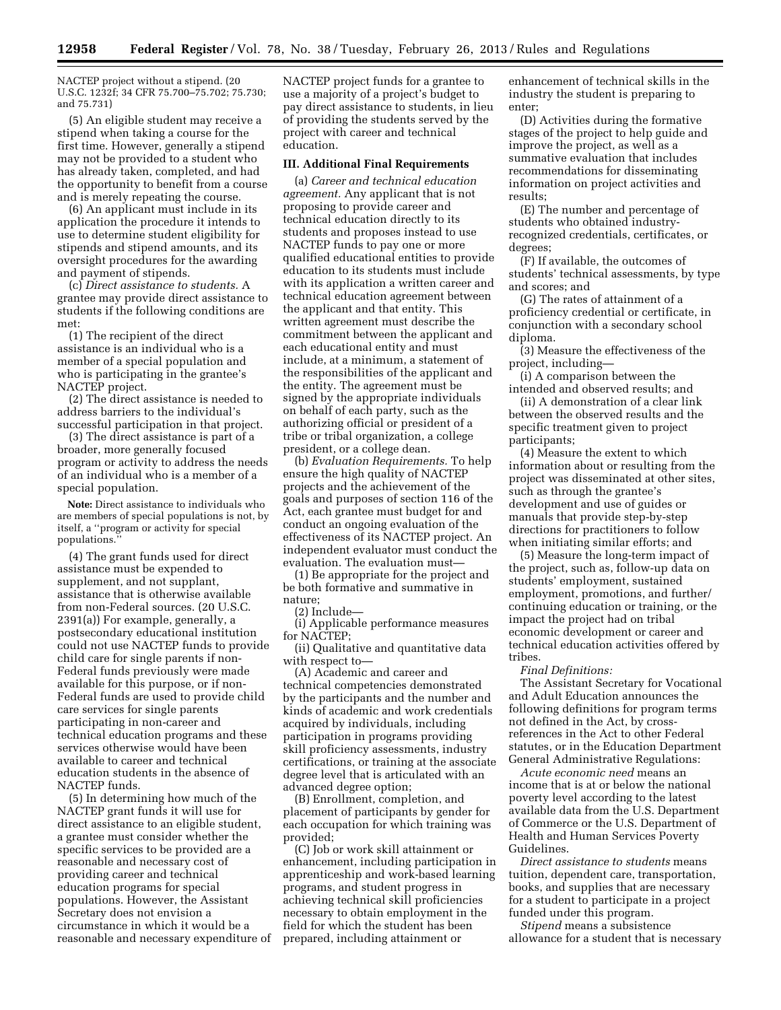NACTEP project without a stipend. (20 U.S.C. 1232f; 34 CFR 75.700–75.702; 75.730; and 75.731)

(5) An eligible student may receive a stipend when taking a course for the first time. However, generally a stipend may not be provided to a student who has already taken, completed, and had the opportunity to benefit from a course and is merely repeating the course.

(6) An applicant must include in its application the procedure it intends to use to determine student eligibility for stipends and stipend amounts, and its oversight procedures for the awarding and payment of stipends.

(c) *Direct assistance to students.* A grantee may provide direct assistance to students if the following conditions are met:

(1) The recipient of the direct assistance is an individual who is a member of a special population and who is participating in the grantee's NACTEP project.

(2) The direct assistance is needed to address barriers to the individual's successful participation in that project.

(3) The direct assistance is part of a broader, more generally focused program or activity to address the needs of an individual who is a member of a special population.

**Note:** Direct assistance to individuals who are members of special populations is not, by itself, a ''program or activity for special populations.''

(4) The grant funds used for direct assistance must be expended to supplement, and not supplant, assistance that is otherwise available from non-Federal sources. (20 U.S.C. 2391(a)) For example, generally, a postsecondary educational institution could not use NACTEP funds to provide child care for single parents if non-Federal funds previously were made available for this purpose, or if non-Federal funds are used to provide child care services for single parents participating in non-career and technical education programs and these services otherwise would have been available to career and technical education students in the absence of NACTEP funds.

(5) In determining how much of the NACTEP grant funds it will use for direct assistance to an eligible student, a grantee must consider whether the specific services to be provided are a reasonable and necessary cost of providing career and technical education programs for special populations. However, the Assistant Secretary does not envision a circumstance in which it would be a reasonable and necessary expenditure of NACTEP project funds for a grantee to use a majority of a project's budget to pay direct assistance to students, in lieu of providing the students served by the project with career and technical education.

#### **III. Additional Final Requirements**

(a) *Career and technical education agreement.* Any applicant that is not proposing to provide career and technical education directly to its students and proposes instead to use NACTEP funds to pay one or more qualified educational entities to provide education to its students must include with its application a written career and technical education agreement between the applicant and that entity. This written agreement must describe the commitment between the applicant and each educational entity and must include, at a minimum, a statement of the responsibilities of the applicant and the entity. The agreement must be signed by the appropriate individuals on behalf of each party, such as the authorizing official or president of a tribe or tribal organization, a college president, or a college dean.

(b) *Evaluation Requirements.* To help ensure the high quality of NACTEP projects and the achievement of the goals and purposes of section 116 of the Act, each grantee must budget for and conduct an ongoing evaluation of the effectiveness of its NACTEP project. An independent evaluator must conduct the evaluation. The evaluation must—

(1) Be appropriate for the project and be both formative and summative in nature;

(2) Include—

(i) Applicable performance measures for NACTEP;

(ii) Qualitative and quantitative data with respect to—

(A) Academic and career and technical competencies demonstrated by the participants and the number and kinds of academic and work credentials acquired by individuals, including participation in programs providing skill proficiency assessments, industry certifications, or training at the associate degree level that is articulated with an advanced degree option;

(B) Enrollment, completion, and placement of participants by gender for each occupation for which training was provided;

(C) Job or work skill attainment or enhancement, including participation in apprenticeship and work-based learning programs, and student progress in achieving technical skill proficiencies necessary to obtain employment in the field for which the student has been prepared, including attainment or

enhancement of technical skills in the industry the student is preparing to enter;

(D) Activities during the formative stages of the project to help guide and improve the project, as well as a summative evaluation that includes recommendations for disseminating information on project activities and results;

(E) The number and percentage of students who obtained industryrecognized credentials, certificates, or degrees;

(F) If available, the outcomes of students' technical assessments, by type and scores; and

(G) The rates of attainment of a proficiency credential or certificate, in conjunction with a secondary school diploma.

(3) Measure the effectiveness of the project, including—

(i) A comparison between the intended and observed results; and

(ii) A demonstration of a clear link between the observed results and the specific treatment given to project participants;

(4) Measure the extent to which information about or resulting from the project was disseminated at other sites, such as through the grantee's development and use of guides or manuals that provide step-by-step directions for practitioners to follow when initiating similar efforts; and

(5) Measure the long-term impact of the project, such as, follow-up data on students' employment, sustained employment, promotions, and further/ continuing education or training, or the impact the project had on tribal economic development or career and technical education activities offered by tribes.

*Final Definitions:* 

The Assistant Secretary for Vocational and Adult Education announces the following definitions for program terms not defined in the Act, by crossreferences in the Act to other Federal statutes, or in the Education Department General Administrative Regulations:

*Acute economic need* means an income that is at or below the national poverty level according to the latest available data from the U.S. Department of Commerce or the U.S. Department of Health and Human Services Poverty Guidelines.

*Direct assistance to students* means tuition, dependent care, transportation, books, and supplies that are necessary for a student to participate in a project funded under this program.

*Stipend* means a subsistence allowance for a student that is necessary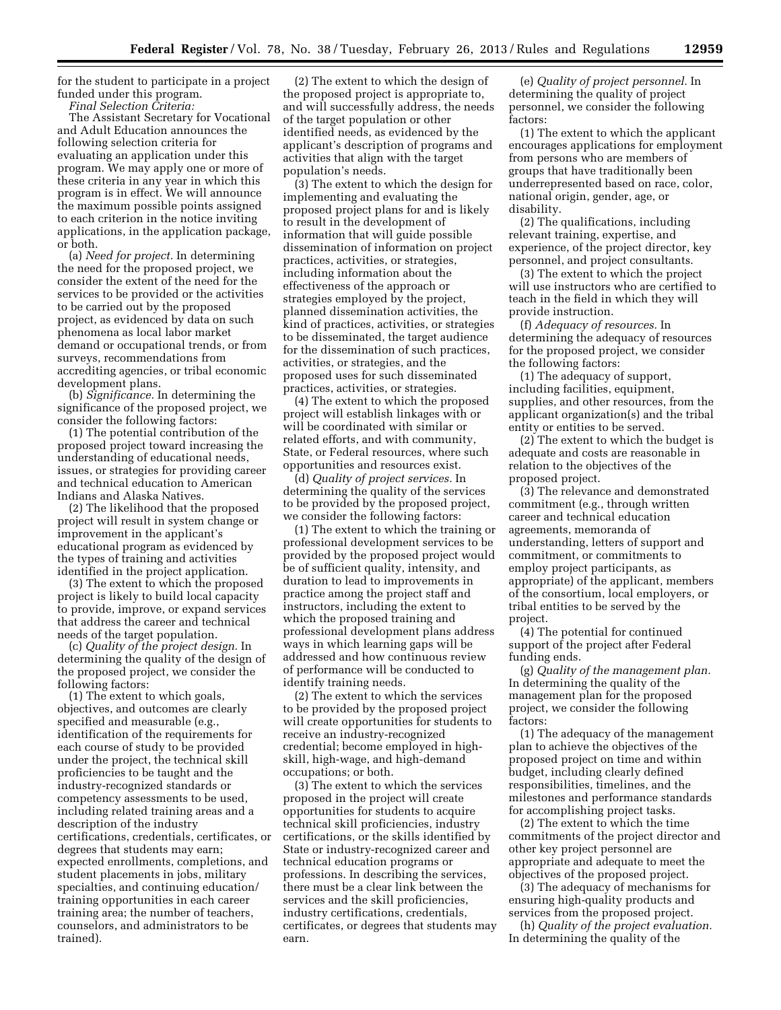for the student to participate in a project funded under this program.

*Final Selection Criteria:*  The Assistant Secretary for Vocational and Adult Education announces the following selection criteria for evaluating an application under this program. We may apply one or more of these criteria in any year in which this program is in effect. We will announce the maximum possible points assigned to each criterion in the notice inviting applications, in the application package, or both.

(a) *Need for project.* In determining the need for the proposed project, we consider the extent of the need for the services to be provided or the activities to be carried out by the proposed project, as evidenced by data on such phenomena as local labor market demand or occupational trends, or from surveys, recommendations from accrediting agencies, or tribal economic development plans.

(b) *Significance.* In determining the significance of the proposed project, we consider the following factors:

(1) The potential contribution of the proposed project toward increasing the understanding of educational needs, issues, or strategies for providing career and technical education to American Indians and Alaska Natives.

(2) The likelihood that the proposed project will result in system change or improvement in the applicant's educational program as evidenced by the types of training and activities identified in the project application.

(3) The extent to which the proposed project is likely to build local capacity to provide, improve, or expand services that address the career and technical needs of the target population.

(c) *Quality of the project design.* In determining the quality of the design of the proposed project, we consider the following factors:

(1) The extent to which goals, objectives, and outcomes are clearly specified and measurable (e.g., identification of the requirements for each course of study to be provided under the project, the technical skill proficiencies to be taught and the industry-recognized standards or competency assessments to be used, including related training areas and a description of the industry certifications, credentials, certificates, or degrees that students may earn; expected enrollments, completions, and student placements in jobs, military specialties, and continuing education/ training opportunities in each career training area; the number of teachers, counselors, and administrators to be trained).

(2) The extent to which the design of the proposed project is appropriate to, and will successfully address, the needs of the target population or other identified needs, as evidenced by the applicant's description of programs and activities that align with the target population's needs.

(3) The extent to which the design for implementing and evaluating the proposed project plans for and is likely to result in the development of information that will guide possible dissemination of information on project practices, activities, or strategies, including information about the effectiveness of the approach or strategies employed by the project, planned dissemination activities, the kind of practices, activities, or strategies to be disseminated, the target audience for the dissemination of such practices, activities, or strategies, and the proposed uses for such disseminated practices, activities, or strategies.

(4) The extent to which the proposed project will establish linkages with or will be coordinated with similar or related efforts, and with community, State, or Federal resources, where such opportunities and resources exist.

(d) *Quality of project services.* In determining the quality of the services to be provided by the proposed project, we consider the following factors:

(1) The extent to which the training or professional development services to be provided by the proposed project would be of sufficient quality, intensity, and duration to lead to improvements in practice among the project staff and instructors, including the extent to which the proposed training and professional development plans address ways in which learning gaps will be addressed and how continuous review of performance will be conducted to identify training needs.

(2) The extent to which the services to be provided by the proposed project will create opportunities for students to receive an industry-recognized credential; become employed in highskill, high-wage, and high-demand occupations; or both.

(3) The extent to which the services proposed in the project will create opportunities for students to acquire technical skill proficiencies, industry certifications, or the skills identified by State or industry-recognized career and technical education programs or professions. In describing the services, there must be a clear link between the services and the skill proficiencies, industry certifications, credentials, certificates, or degrees that students may earn.

(e) *Quality of project personnel.* In determining the quality of project personnel, we consider the following factors:

(1) The extent to which the applicant encourages applications for employment from persons who are members of groups that have traditionally been underrepresented based on race, color, national origin, gender, age, or disability.

(2) The qualifications, including relevant training, expertise, and experience, of the project director, key personnel, and project consultants.

(3) The extent to which the project will use instructors who are certified to teach in the field in which they will provide instruction.

(f) *Adequacy of resources.* In determining the adequacy of resources for the proposed project, we consider the following factors:

(1) The adequacy of support, including facilities, equipment, supplies, and other resources, from the applicant organization(s) and the tribal entity or entities to be served.

(2) The extent to which the budget is adequate and costs are reasonable in relation to the objectives of the proposed project.

(3) The relevance and demonstrated commitment (e.g., through written career and technical education agreements, memoranda of understanding, letters of support and commitment, or commitments to employ project participants, as appropriate) of the applicant, members of the consortium, local employers, or tribal entities to be served by the project.

(4) The potential for continued support of the project after Federal funding ends.

(g) *Quality of the management plan.*  In determining the quality of the management plan for the proposed project, we consider the following factors:

(1) The adequacy of the management plan to achieve the objectives of the proposed project on time and within budget, including clearly defined responsibilities, timelines, and the milestones and performance standards for accomplishing project tasks.

(2) The extent to which the time commitments of the project director and other key project personnel are appropriate and adequate to meet the objectives of the proposed project.

(3) The adequacy of mechanisms for ensuring high-quality products and services from the proposed project.

(h) *Quality of the project evaluation.*  In determining the quality of the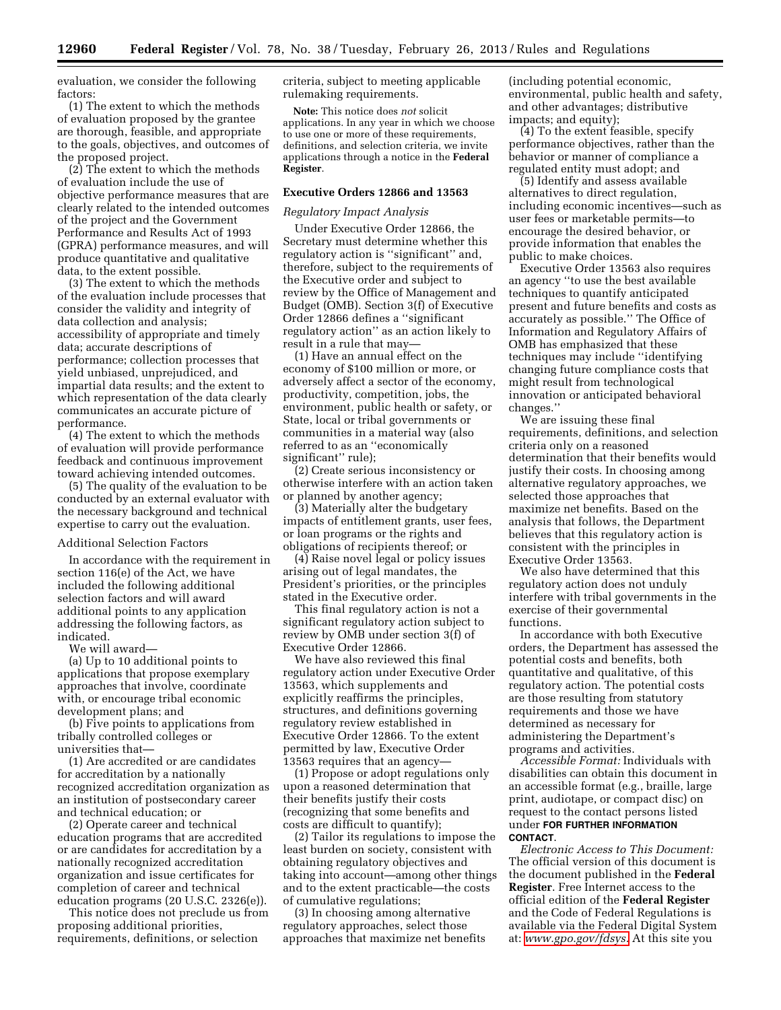evaluation, we consider the following factors:

(1) The extent to which the methods of evaluation proposed by the grantee are thorough, feasible, and appropriate to the goals, objectives, and outcomes of the proposed project.

(2) The extent to which the methods of evaluation include the use of objective performance measures that are clearly related to the intended outcomes of the project and the Government Performance and Results Act of 1993 (GPRA) performance measures, and will produce quantitative and qualitative data, to the extent possible.

(3) The extent to which the methods of the evaluation include processes that consider the validity and integrity of data collection and analysis; accessibility of appropriate and timely data; accurate descriptions of performance; collection processes that yield unbiased, unprejudiced, and impartial data results; and the extent to which representation of the data clearly communicates an accurate picture of performance.

(4) The extent to which the methods of evaluation will provide performance feedback and continuous improvement toward achieving intended outcomes.

(5) The quality of the evaluation to be conducted by an external evaluator with the necessary background and technical expertise to carry out the evaluation.

#### Additional Selection Factors

In accordance with the requirement in section 116(e) of the Act, we have included the following additional selection factors and will award additional points to any application addressing the following factors, as indicated.

We will award—

(a) Up to 10 additional points to applications that propose exemplary approaches that involve, coordinate with, or encourage tribal economic development plans; and

(b) Five points to applications from tribally controlled colleges or universities that—

(1) Are accredited or are candidates for accreditation by a nationally recognized accreditation organization as an institution of postsecondary career and technical education; or

(2) Operate career and technical education programs that are accredited or are candidates for accreditation by a nationally recognized accreditation organization and issue certificates for completion of career and technical education programs (20 U.S.C. 2326(e)).

This notice does not preclude us from proposing additional priorities, requirements, definitions, or selection

criteria, subject to meeting applicable rulemaking requirements.

**Note:** This notice does *not* solicit applications. In any year in which we choose to use one or more of these requirements, definitions, and selection criteria, we invite applications through a notice in the **Federal Register**.

## **Executive Orders 12866 and 13563**

#### *Regulatory Impact Analysis*

Under Executive Order 12866, the Secretary must determine whether this regulatory action is ''significant'' and, therefore, subject to the requirements of the Executive order and subject to review by the Office of Management and Budget (OMB). Section 3(f) of Executive Order 12866 defines a ''significant regulatory action'' as an action likely to result in a rule that may—

(1) Have an annual effect on the economy of \$100 million or more, or adversely affect a sector of the economy, productivity, competition, jobs, the environment, public health or safety, or State, local or tribal governments or communities in a material way (also referred to as an ''economically significant'' rule);

(2) Create serious inconsistency or otherwise interfere with an action taken or planned by another agency;

(3) Materially alter the budgetary impacts of entitlement grants, user fees, or loan programs or the rights and obligations of recipients thereof; or

(4) Raise novel legal or policy issues arising out of legal mandates, the President's priorities, or the principles stated in the Executive order.

This final regulatory action is not a significant regulatory action subject to review by OMB under section 3(f) of Executive Order 12866.

We have also reviewed this final regulatory action under Executive Order 13563, which supplements and explicitly reaffirms the principles, structures, and definitions governing regulatory review established in Executive Order 12866. To the extent permitted by law, Executive Order 13563 requires that an agency—

(1) Propose or adopt regulations only upon a reasoned determination that their benefits justify their costs (recognizing that some benefits and costs are difficult to quantify);

(2) Tailor its regulations to impose the least burden on society, consistent with obtaining regulatory objectives and taking into account—among other things and to the extent practicable—the costs of cumulative regulations;

(3) In choosing among alternative regulatory approaches, select those approaches that maximize net benefits

(including potential economic, environmental, public health and safety, and other advantages; distributive impacts; and equity);

(4) To the extent feasible, specify performance objectives, rather than the behavior or manner of compliance a regulated entity must adopt; and

(5) Identify and assess available alternatives to direct regulation, including economic incentives—such as user fees or marketable permits—to encourage the desired behavior, or provide information that enables the public to make choices.

Executive Order 13563 also requires an agency ''to use the best available techniques to quantify anticipated present and future benefits and costs as accurately as possible.'' The Office of Information and Regulatory Affairs of OMB has emphasized that these techniques may include ''identifying changing future compliance costs that might result from technological innovation or anticipated behavioral changes.''

We are issuing these final requirements, definitions, and selection criteria only on a reasoned determination that their benefits would justify their costs. In choosing among alternative regulatory approaches, we selected those approaches that maximize net benefits. Based on the analysis that follows, the Department believes that this regulatory action is consistent with the principles in Executive Order 13563.

We also have determined that this regulatory action does not unduly interfere with tribal governments in the exercise of their governmental functions.

In accordance with both Executive orders, the Department has assessed the potential costs and benefits, both quantitative and qualitative, of this regulatory action. The potential costs are those resulting from statutory requirements and those we have determined as necessary for administering the Department's programs and activities.

*Accessible Format:* Individuals with disabilities can obtain this document in an accessible format (e.g., braille, large print, audiotape, or compact disc) on request to the contact persons listed under **FOR FURTHER INFORMATION CONTACT**.

*Electronic Access to This Document:*  The official version of this document is the document published in the **Federal Register**. Free Internet access to the official edition of the **Federal Register**  and the Code of Federal Regulations is available via the Federal Digital System at: *[www.gpo.gov/fdsys.](http://www.gpo.gov/fdsys)* At this site you